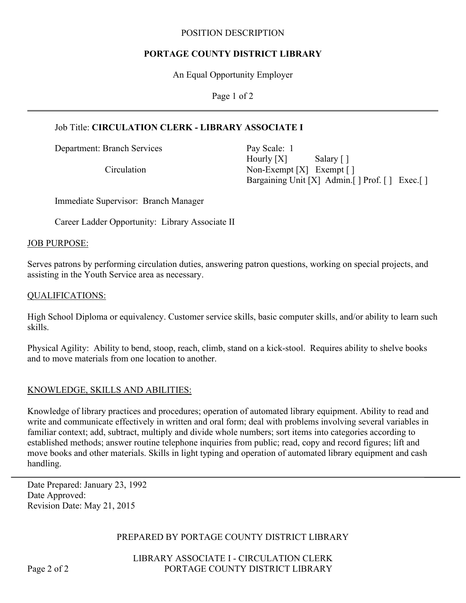#### POSITION DESCRIPTION

### **PORTAGE COUNTY DISTRICT LIBRARY**

An Equal Opportunity Employer

Page 1 of 2

## Job Title: **CIRCULATION CLERK - LIBRARY ASSOCIATE I**

Department: Branch Services Pay Scale: 1

Hourly [X] Salary [] Circulation Non-Exempt [X] Exempt [] Bargaining Unit [X] Admin. [ ] Prof. [ ] Exec. [ ]

Immediate Supervisor: Branch Manager

Career Ladder Opportunity: Library Associate II

#### JOB PURPOSE:

Serves patrons by performing circulation duties, answering patron questions, working on special projects, and assisting in the Youth Service area as necessary.

### QUALIFICATIONS:

High School Diploma or equivalency. Customer service skills, basic computer skills, and/or ability to learn such skills.

Physical Agility: Ability to bend, stoop, reach, climb, stand on a kick-stool. Requires ability to shelve books and to move materials from one location to another.

### KNOWLEDGE, SKILLS AND ABILITIES:

Knowledge of library practices and procedures; operation of automated library equipment. Ability to read and write and communicate effectively in written and oral form; deal with problems involving several variables in familiar context; add, subtract, multiply and divide whole numbers; sort items into categories according to established methods; answer routine telephone inquiries from public; read, copy and record figures; lift and move books and other materials. Skills in light typing and operation of automated library equipment and cash handling.

Date Prepared: January 23, 1992 Date Approved: Revision Date: May 21, 2015

### PREPARED BY PORTAGE COUNTY DISTRICT LIBRARY

LIBRARY ASSOCIATE I - CIRCULATION CLERK Page 2 of 2 PORTAGE COUNTY DISTRICT LIBRARY